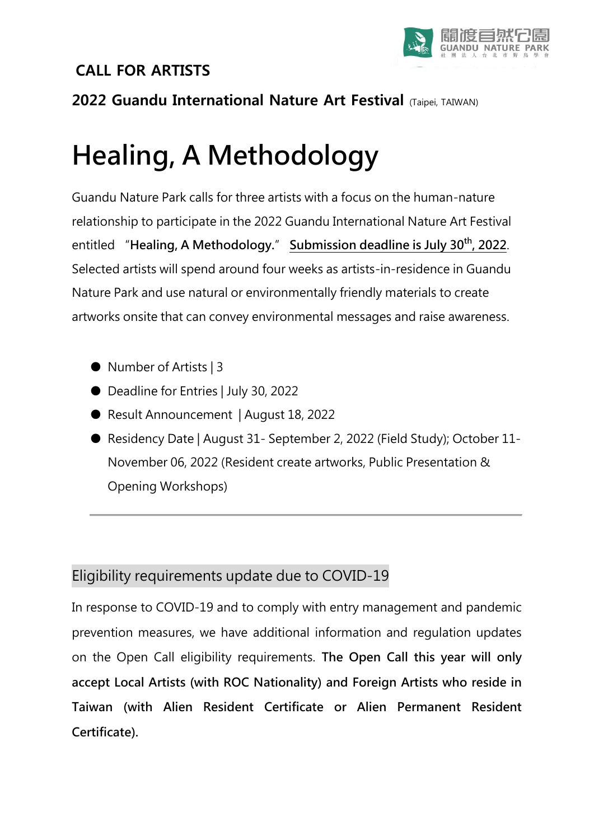### **CALL FOR ARTISTS**



### **2022 Guandu International Nature Art Festival** (Taipei, TAIWAN)

# Healing, A Methodology

Guandu Nature Park calls for three artists with a focus on the human-nature relationship to participate in the 2022 Guandu International Nature Art Festival entitled "Healing, A Methodology." Submission deadline is July 30<sup>th</sup>, 2022. Selected artists will spend around four weeks as artists-in-residence in Guandu Nature Park and use natural or environmentally friendly materials to create artworks onsite that can convey environmental messages and raise awareness.

- Number of Artists | 3
- Deadline for Entries | July 30, 2022
- Result Announcement | August 18, 2022
- Residency Date | August 31- September 2, 2022 (Field Study); October 11-November 06, 2022 (Resident create artworks, Public Presentation & Opening Workshops)

### Eligibility requirements update due to COVID-19

In response to COVID-19 and to comply with entry management and pandemic prevention measures, we have additional information and regulation updates on the Open Call eligibility requirements. The Open Call this year will only accept Local Artists (with ROC Nationality) and Foreign Artists who reside in Taiwan (with Alien Resident Certificate or Alien Permanent Resident Certificate).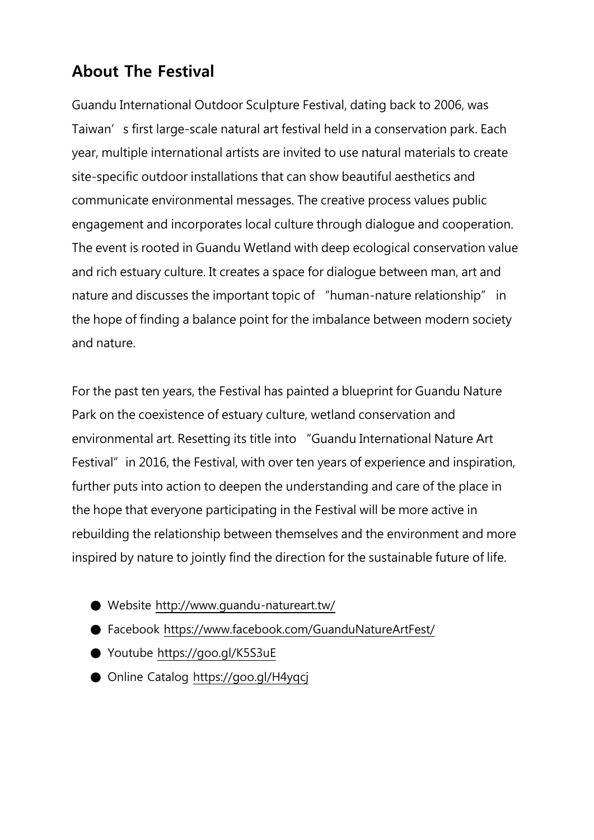# **About The Festival**

Guandu International Outdoor Sculpture Festival, dating back to 2006, was Taiwan's first large-scale natural art festival held in a conservation park. Each year, multiple international artists are invited to use natural materials to create site-specific outdoor installations that can show beautiful aesthetics and communicate environmental messages. The creative process values public engagement and incorporates local culture through dialogue and cooperation. The event is rooted in Guandu Wetland with deep ecological conservation value and rich estuary culture. It creates a space for dialogue between man, art and nature and discusses the important topic of "human-nature relationship" in the hope of finding a balance point for the imbalance between modern society and nature.

For the past ten years, the Festival has painted a blueprint for Guandu Nature Park on the coexistence of estuary culture, wetland conservation and environmental art. Resetting its title into "Guandu International Nature Art Festival" in 2016, the Festival, with over ten years of experience and inspiration, further puts into action to deepen the understanding and care of the place in the hope that everyone participating in the Festival will be more active in rebuilding the relationship between themselves and the environment and more inspired by nature to jointly find the direction for the sustainable future of life.

- Website http://www.quandu-natureart.tw/
- Facebook<https://www.facebook.com/GuanduNatureArtFest/>
- Youtube<https://goo.gl/K5S3uE>
- Online Catalog<https://goo.gl/H4yqcj>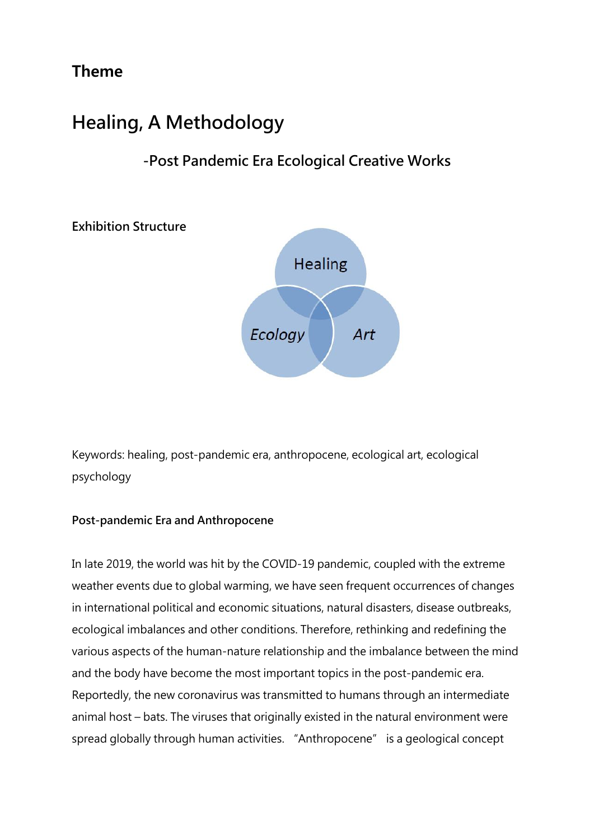# **Theme**

# Healing, A Methodology

# -Post Pandemic Era Ecological Creative Works

Exhibition Structure



Keywords: healing, post-pandemic era, anthropocene, ecological art, ecological psychology

#### Post-pandemic Era and Anthropocene

In late 2019, the world was hit by the COVID-19 pandemic, coupled with the extreme weather events due to global warming, we have seen frequent occurrences of changes in international political and economic situations, natural disasters, disease outbreaks, ecological imbalances and other conditions. Therefore, rethinking and redefining the various aspects of the human-nature relationship and the imbalance between the mind and the body have become the most important topics in the post-pandemic era. Reportedly, the new coronavirus was transmitted to humans through an intermediate animal host – bats. The viruses that originally existed in the natural environment were spread globally through human activities. "Anthropocene" is a geological concept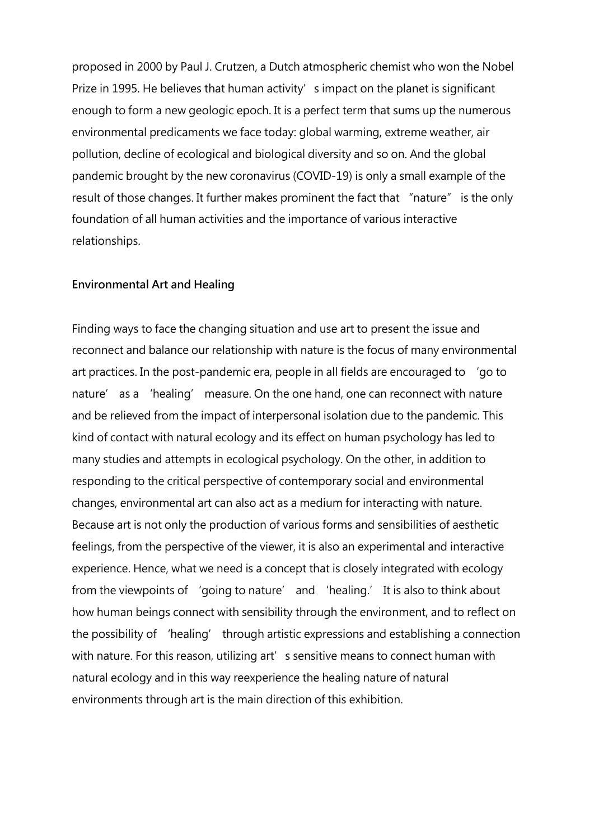proposed in 2000 by Paul J. Crutzen, a Dutch atmospheric chemist who won the Nobel Prize in 1995. He believes that human activity's impact on the planet is significant enough to form a new geologic epoch. It is a perfect term that sums up the numerous environmental predicaments we face today: global warming, extreme weather, air pollution, decline of ecological and biological diversity and so on. And the global pandemic brought by the new coronavirus (COVID-19) is only a small example of the result of those changes. It further makes prominent the fact that "nature" is the only foundation of all human activities and the importance of various interactive relationships.

#### Environmental Art and Healing

Finding ways to face the changing situation and use art to present the issue and reconnect and balance our relationship with nature is the focus of many environmental art practices. In the post-pandemic era, people in all fields are encouraged to 'go to nature' as a 'healing' measure. On the one hand, one can reconnect with nature and be relieved from the impact of interpersonal isolation due to the pandemic. This kind of contact with natural ecology and its effect on human psychology has led to many studies and attempts in ecological psychology. On the other, in addition to responding to the critical perspective of contemporary social and environmental changes, environmental art can also act as a medium for interacting with nature. Because art is not only the production of various forms and sensibilities of aesthetic feelings, from the perspective of the viewer, it is also an experimental and interactive experience. Hence, what we need is a concept that is closely integrated with ecology from the viewpoints of 'going to nature' and 'healing.' It is also to think about how human beings connect with sensibility through the environment, and to reflect on the possibility of 'healing' through artistic expressions and establishing a connection with nature. For this reason, utilizing art's sensitive means to connect human with natural ecology and in this way reexperience the healing nature of natural environments through art is the main direction of this exhibition.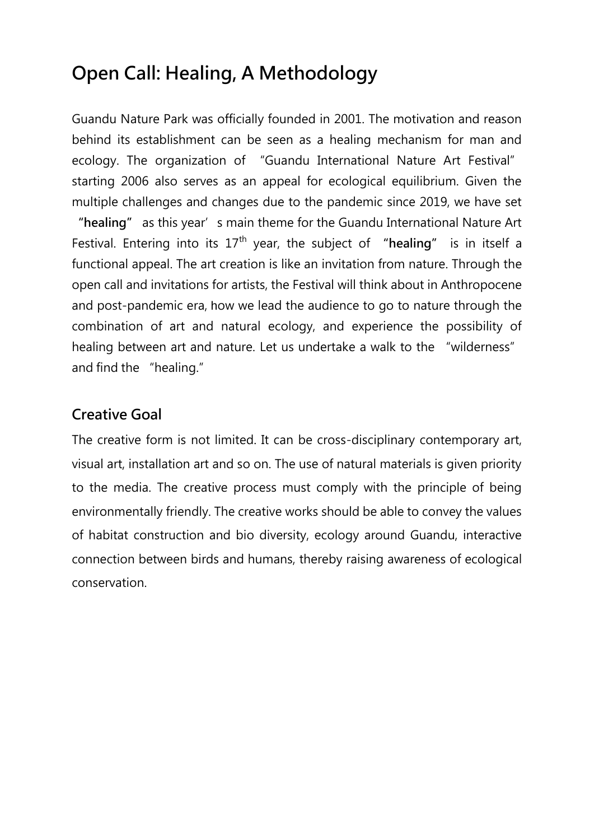# Open Call: Healing, A Methodology

Guandu Nature Park was officially founded in 2001. The motivation and reason behind its establishment can be seen as a healing mechanism for man and ecology. The organization of "Guandu International Nature Art Festival" starting 2006 also serves as an appeal for ecological equilibrium. Given the multiple challenges and changes due to the pandemic since 2019, we have set "healing" as this year's main theme for the Guandu International Nature Art Festival. Entering into its  $17<sup>th</sup>$  year, the subject of "healing" is in itself a functional appeal. The art creation is like an invitation from nature. Through the open call and invitations for artists, the Festival will think about in Anthropocene and post-pandemic era, how we lead the audience to go to nature through the combination of art and natural ecology, and experience the possibility of healing between art and nature. Let us undertake a walk to the "wilderness" and find the "healing."

### Creative Goal

The creative form is not limited. It can be cross-disciplinary contemporary art, visual art, installation art and so on. The use of natural materials is given priority to the media. The creative process must comply with the principle of being environmentally friendly. The creative works should be able to convey the values of habitat construction and bio diversity, ecology around Guandu, interactive connection between birds and humans, thereby raising awareness of ecological conservation.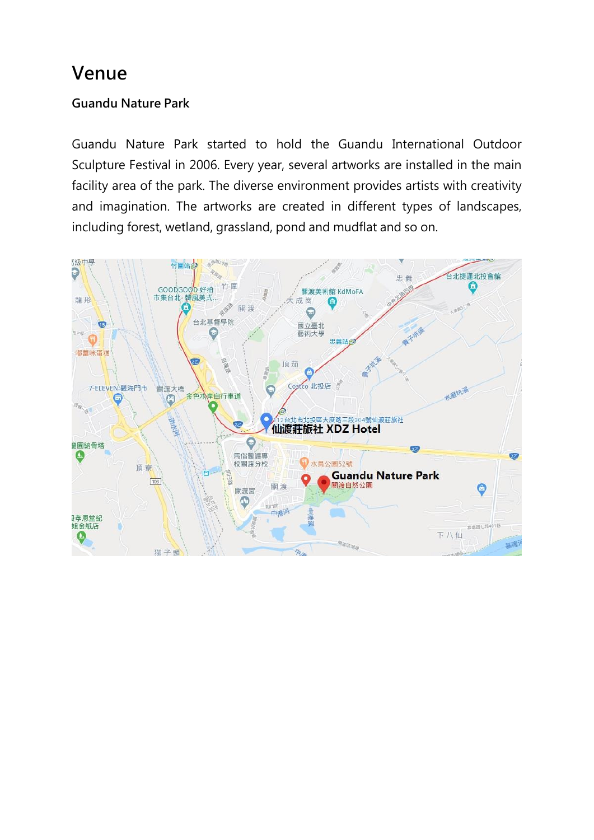# Venue

### Guandu Nature Park

Guandu Nature Park started to hold the Guandu International Outdoor Sculpture Festival in 2006. Every year, several artworks are installed in the main facility area of the park. The diverse environment provides artists with creativity and imagination. The artworks are created in different types of landscapes, including forest, wetland, grassland, pond and mudflat and so on.

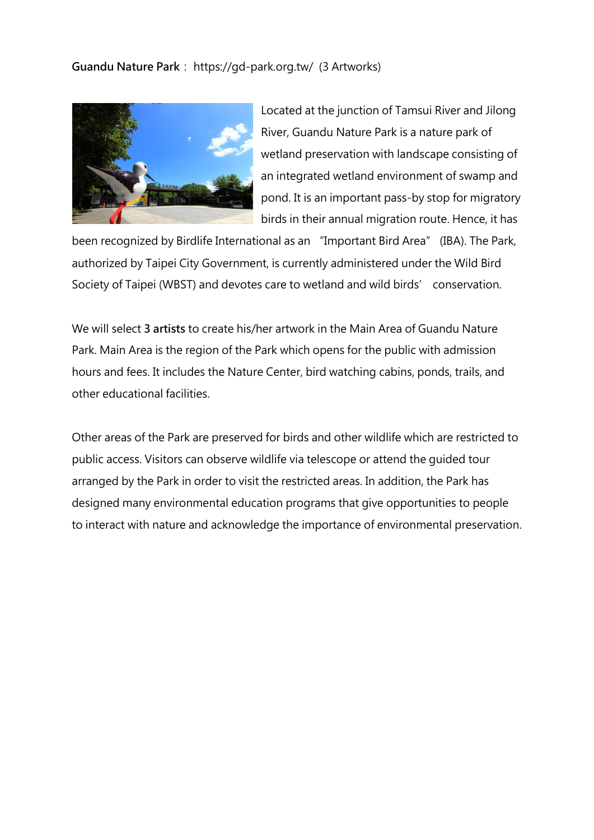Guandu Nature Park: https://gd-park.org.tw/ (3 Artworks)



Located at the junction of Tamsui River and Jilong River, Guandu Nature Park is a nature park of wetland preservation with landscape consisting of an integrated wetland environment of swamp and pond. It is an important pass-by stop for migratory birds in their annual migration route. Hence, it has

been recognized by Birdlife International as an "Important Bird Area" (IBA). The Park, authorized by Taipei City Government, is currently administered under the Wild Bird Society of Taipei (WBST) and devotes care to wetland and wild birds' conservation.

We will select 3 artists to create his/her artwork in the Main Area of Guandu Nature Park. Main Area is the region of the Park which opens for the public with admission hours and fees. It includes the Nature Center, bird watching cabins, ponds, trails, and other educational facilities.

Other areas of the Park are preserved for birds and other wildlife which are restricted to public access. Visitors can observe wildlife via telescope or attend the guided tour arranged by the Park in order to visit the restricted areas. In addition, the Park has designed many environmental education programs that give opportunities to people to interact with nature and acknowledge the importance of environmental preservation.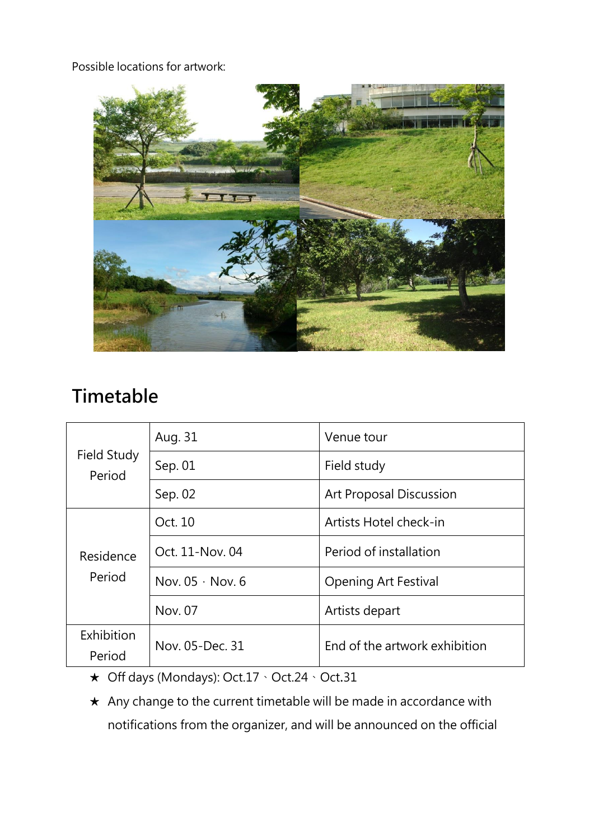Possible locations for artwork:



# Timetable

| Field Study<br>Period | Aug. 31                | Venue tour                     |
|-----------------------|------------------------|--------------------------------|
|                       | Sep. 01                | Field study                    |
|                       | Sep. 02                | <b>Art Proposal Discussion</b> |
| Residence<br>Period   | Oct. 10                | Artists Hotel check-in         |
|                       | Oct. 11-Nov. 04        | Period of installation         |
|                       | Nov. $05 \cdot$ Nov. 6 | <b>Opening Art Festival</b>    |
|                       | Nov. 07                | Artists depart                 |
| Exhibition<br>Period  | Nov. 05-Dec. 31        | End of the artwork exhibition  |

★ Off days (Mondays): Oct.17、Oct.24、Oct.31

★ Any change to the current timetable will be made in accordance with notifications from the organizer, and will be announced on the official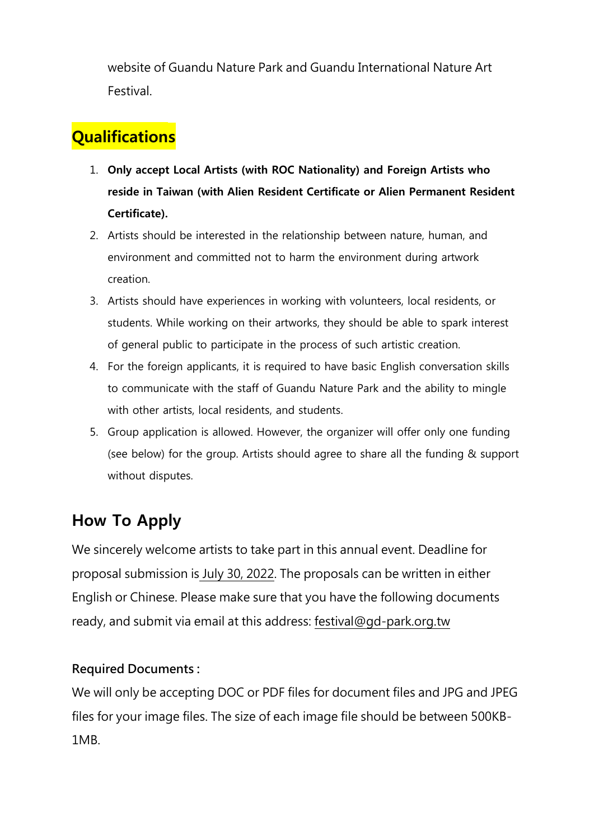website of Guandu Nature Park and Guandu International Nature Art Festival.

# **Qualifications**

- 1. **Only accept Local Artists (with ROC Nationality) and Foreign Artists who reside in Taiwan (with Alien Resident Certificate or Alien Permanent Resident Certificate).**
- 2. Artists should be interested in the relationship between nature, human, and environment and committed not to harm the environment during artwork creation.
- 3. Artists should have experiences in working with volunteers, local residents, or students. While working on their artworks, they should be able to spark interest of general public to participate in the process of such artistic creation.
- 4. For the foreign applicants, it is required to have basic English conversation skills to communicate with the staff of Guandu Nature Park and the ability to mingle with other artists, local residents, and students.
- 5. Group application is allowed. However, the organizer will offer only one funding (see below) for the group. Artists should agree to share all the funding & support without disputes.

# **How To Apply**

We sincerely welcome artists to take part in this annual event. Deadline for proposal submission is July 30, 2022. The proposals can be written in either English or Chinese. Please make sure that you have the following documents ready, and submit via email at this address: [festival@gd-park.org.tw](mailto:festival@gd-park.org.tw)

### Required Documents :

We will only be accepting DOC or PDF files for document files and JPG and JPEG files for your image files. The size of each image file should be between 500KB-1MB.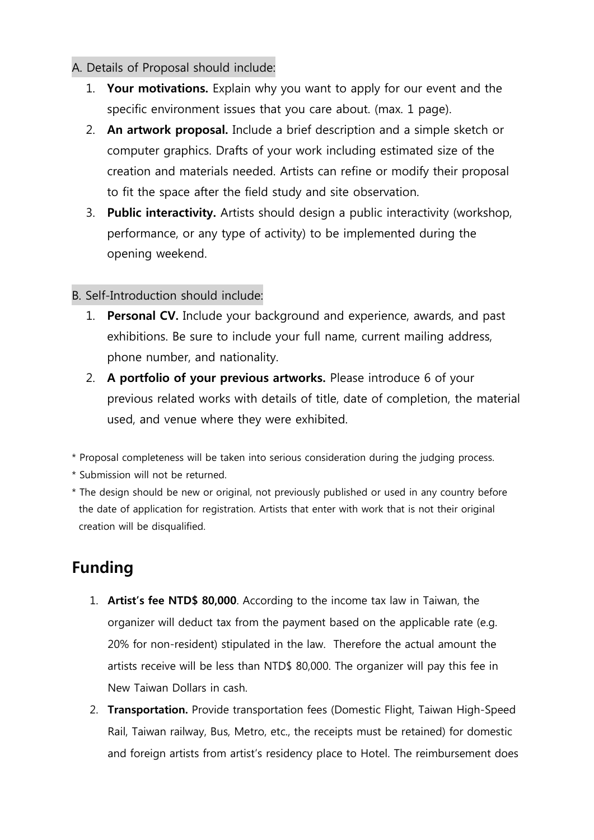#### A. Details of Proposal should include:

- 1. **Your motivations.** Explain why you want to apply for our event and the specific environment issues that you care about. (max. 1 page).
- 2. **An artwork proposal.** Include a brief description and a simple sketch or computer graphics. Drafts of your work including estimated size of the creation and materials needed. Artists can refine or modify their proposal to fit the space after the field study and site observation.
- 3. **Public interactivity.** Artists should design a public interactivity (workshop, performance, or any type of activity) to be implemented during the opening weekend.

#### B. Self-Introduction should include:

- 1. **Personal CV.** Include your background and experience, awards, and past exhibitions. Be sure to include your full name, current mailing address, phone number, and nationality.
- 2. **A portfolio of your previous artworks.** Please introduce 6 of your previous related works with details of title, date of completion, the material used, and venue where they were exhibited.
- \* Proposal completeness will be taken into serious consideration during the judging process.
- \* Submission will not be returned.
- \* The design should be new or original, not previously published or used in any country before the date of application for registration. Artists that enter with work that is not their original creation will be disqualified.

# **Funding**

- 1. **Artist's fee NTD\$ 80,000**. According to the income tax law in Taiwan, the organizer will deduct tax from the payment based on the applicable rate (e.g. 20% for non-resident) stipulated in the law. Therefore the actual amount the artists receive will be less than NTD\$ 80,000. The organizer will pay this fee in New Taiwan Dollars in cash.
- 2. **Transportation.** Provide transportation fees (Domestic Flight, Taiwan High-Speed Rail, Taiwan railway, Bus, Metro, etc., the receipts must be retained) for domestic and foreign artists from artist's residency place to Hotel. The reimbursement does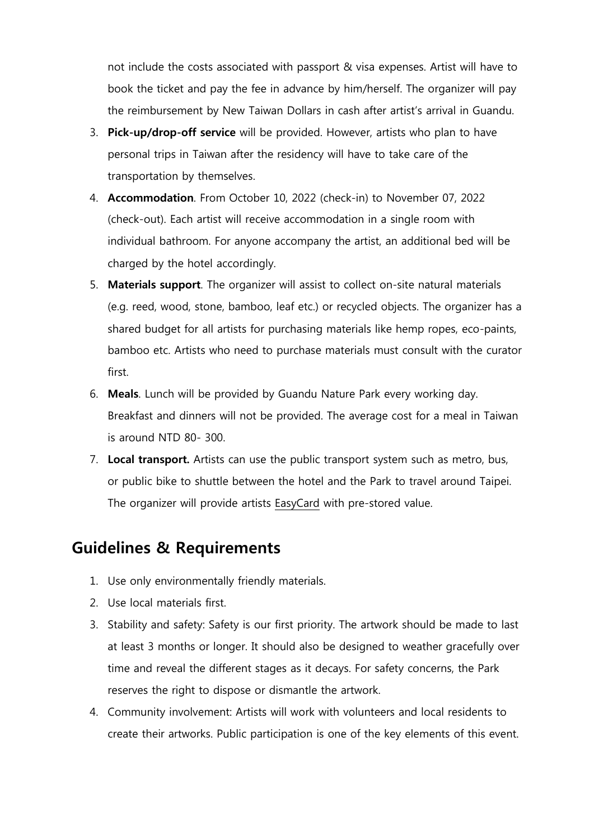not include the costs associated with passport & visa expenses. Artist will have to book the ticket and pay the fee in advance by him/herself. The organizer will pay the reimbursement by New Taiwan Dollars in cash after artist's arrival in Guandu.

- 3. **Pick-up/drop-off service** will be provided. However, artists who plan to have personal trips in Taiwan after the residency will have to take care of the transportation by themselves.
- 4. **Accommodation**. From October 10, 2022 (check-in) to November 07, 2022 (check-out). Each artist will receive accommodation in a single room with individual bathroom. For anyone accompany the artist, an additional bed will be charged by the hotel accordingly.
- 5. **Materials support**. The organizer will assist to collect on-site natural materials (e.g. reed, wood, stone, bamboo, leaf etc.) or recycled objects. The organizer has a shared budget for all artists for purchasing materials like hemp ropes, eco-paints, bamboo etc. Artists who need to purchase materials must consult with the curator first.
- 6. **Meals**. Lunch will be provided by Guandu Nature Park every working day. Breakfast and dinners will not be provided. The average cost for a meal in Taiwan is around NTD 80- 300.
- 7. **Local transport.** Artists can use the public transport system such as metro, bus, or public bike to shuttle between the hotel and the Park to travel around Taipei. The organizer will provide artists [EasyCard](https://www.easycard.com.tw/en/) with pre-stored value.

### **Guidelines & Requirements**

- 1. Use only environmentally friendly materials.
- 2. Use local materials first.
- 3. Stability and safety: Safety is our first priority. The artwork should be made to last at least 3 months or longer. It should also be designed to weather gracefully over time and reveal the different stages as it decays. For safety concerns, the Park reserves the right to dispose or dismantle the artwork.
- 4. Community involvement: Artists will work with volunteers and local residents to create their artworks. Public participation is one of the key elements of this event.